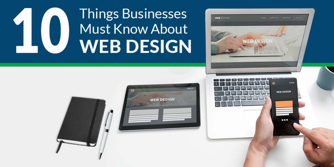# **Things Businesses** Must Know About **WEB DESIGN**





**WEB DESIGN**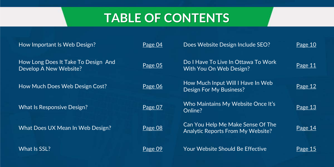## **TABLE OF CONTENTS**

| How Important Is Web Design?                                  | Page 04 | Does Website Design Include SEO?                                              | Page 10 |
|---------------------------------------------------------------|---------|-------------------------------------------------------------------------------|---------|
| How Long Does It Take To Design And<br>Develop A New Website? | Page 05 | Do I Have To Live In Ottawa To Work<br>With You On Web Design?                | Page 11 |
| How Much Does Web Design Cost?                                | Page 06 | How Much Input Will I Have In Web<br><b>Design For My Business?</b>           | Page 12 |
| <b>What Is Responsive Design?</b>                             | Page 07 | Who Maintains My Website Once It's<br>Online?                                 | Page 13 |
| What Does UX Mean In Web Design?                              | Page 08 | Can You Help Me Make Sense Of The<br><b>Analytic Reports From My Website?</b> | Page 14 |
| What Is SSL?                                                  | Page 09 | <b>Your Website Should Be Effective</b>                                       | Page 15 |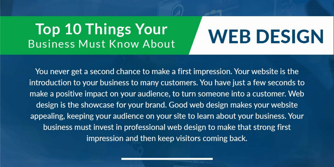## **Top 10 Things Your Business Must Know About**

You never get a second chance to make a first impression. Your website is the introduction to your business to many customers. You have just a few seconds to make a positive impact on your audience, to turn someone into a customer. Web design is the showcase for your brand. Good web design makes your website appealing, keeping your audience on your site to learn about your business. Your business must invest in professional web design to make that strong first impression and then keep visitors coming back.

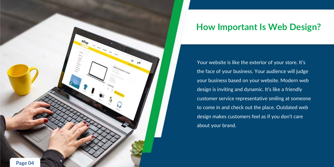### **How Important Is Web Design?**

Your website is like the exterior of your store. It's the face of your business. Your audience will judge your business based on your website. Modern web design is inviting and dynamic. It's like a friendly customer service representative smiling at someone to come in and check out the place. Outdated web design makes customers feel as if you don't care about your brand.

<span id="page-3-0"></span>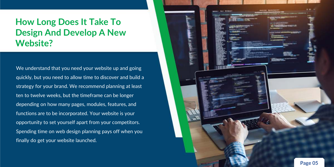#### <span id="page-4-0"></span>**How Long Does It Take To Design And Develop A New Website?**

We understand that you need your website up and going quickly, but you need to allow time to discover and build a strategy for your brand. We recommend planning at least ten to twelve weeks, but the timeframe can be longer depending on how many pages, modules, features, and functions are to be incorporated. Your website is your opportunity to set yourself apart from your competitors. Spending time on web design planning pays off when you finally do get your website launched.

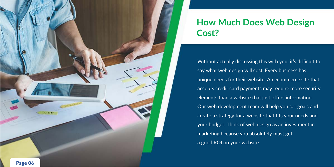#### **How Much Does Web Design Cost?**

Without actually discussing this with you, it's difficult to say what web design will cost. Every business has unique needs for their website. An ecommerce site that accepts credit card payments may require more security elements than a website that just offers information. Our web development team will help you set goals and create a strategy for a website that fits your needs and your budget. Think of web design as an investment in marketing because you absolutely must get a good ROI on your website.

<span id="page-5-0"></span>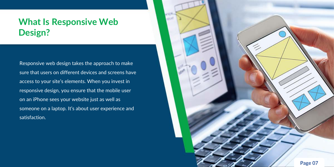### <span id="page-6-0"></span>**What Is Responsive Web Design?**

Responsive web design takes the approach to make sure that users on different devices and screens have access to your site's elements. When you invest in responsive design, you ensure that the mobile user on an iPhone sees your website just as well as someone on a laptop. It's about user experience and satisfaction.

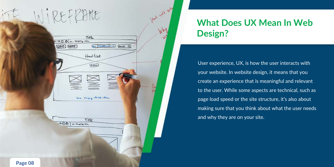## **What Does UX Mean In Web Design?**

User experience, UX, is how the user interacts with your website. In website design, it means that you create an experience that is meaningful and relevant to the user. While some aspects are technical, such as page load speed or the site structure, it's also about making sure that you think about what the user needs and why they are on your site.

<span id="page-7-0"></span>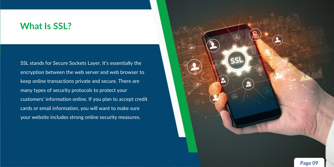#### <span id="page-8-0"></span>**What Is SSL?**

SSL stands for Secure Sockets Layer. It's essentially the encryption between the web server and web browser to keep online transactions private and secure. There are many types of security protocols to protect your customers' information online. If you plan to accept credit cards or email information, you will want to make sure your website includes strong online security measures.

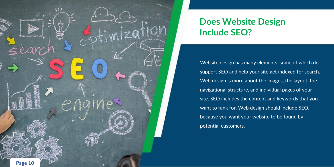Website design has many elements, some of which do support SEO and help your site get indexed for search. Web design is more about the images, the layout, the navigational structure, and individual pages of your  $\overline{}$  site. SEO includes the content and keywords that you  $\overline{}$ want to rank for. Web design should include SEO, because you want your website to be found by potential customers.

<span id="page-9-0"></span>

## **Does Website Design Include SEO?**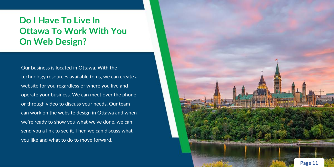### <span id="page-10-0"></span>**Do I Have To Live In Ottawa To Work With You On Web Design?**

Our business is located in Ottawa. With the technology resources available to us, we can create a website for you regardless of where you live and operate your business. We can meet over the phone or through video to discuss your needs. Our team can work on the website design in Ottawa and when we're ready to show you what we've done, we can send you a link to see it. Then we can discuss what you like and what to do to move forward.

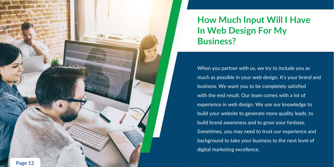### **How Much Input Will I Have In Web Design For My Business?**

When you partner with us, we try to include you as much as possible in your web design. It's your brand and business. We want you to be completely satisfied with the end result. Our team comes with a lot of experience in web design. We use our knowledge to build your website to generate more quality leads, to build brand awareness and to grow your fanbase. Sometimes, you may need to trust our experience and background to take your business to the next level of digital marketing excellence.

<span id="page-11-0"></span>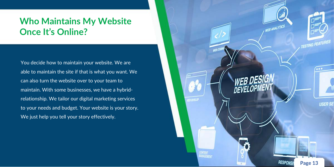

**RESPONSI** 

### <span id="page-12-0"></span>**Who Maintains My Website Once It's Online?**

You decide how to maintain your website. We are able to maintain the site if that is what you want. We can also turn the website over to your team to maintain. With some businesses, we have a hybridrelationship. We tailor our digital marketing services to your needs and budget. Your website is your story. We just help you tell your story effectively.









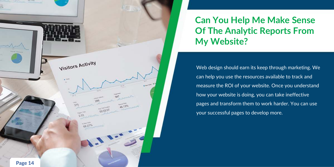## **Can You Help Me Make Sense Of The Analytic Reports From My Website?**

Web design should earn its keep through marketing. We can help you use the resources available to track and measure the ROI of your website. Once you understand how your website is doing, you can take ineffective pages and transform them to work harder. You can use your successful pages to develop more.

<span id="page-13-0"></span>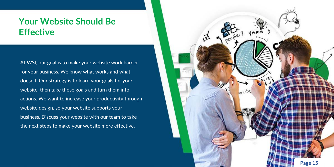#### <span id="page-14-0"></span>**Your Website Should Be Effective**

At WSI, our goal is to make your website work harder for your business. We know what works and what doesn't. Our strategy is to learn your goals for your website, then take those goals and turn them into actions. We want to increase your productivity through website design, so your website supports your business. Discuss your website with our team to take the next steps to make your website more effective.